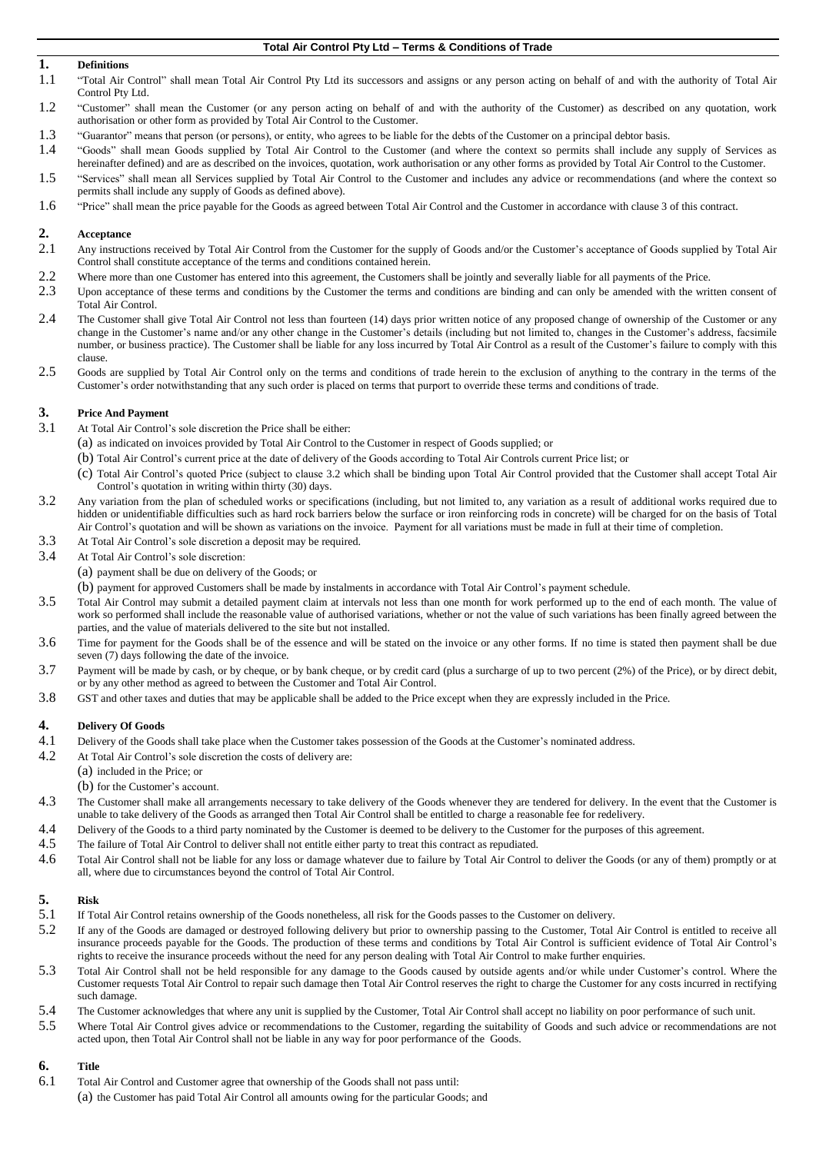### **1. Definitions**

- 1.1 "Total Air Control" shall mean Total Air Control Pty Ltd its successors and assigns or any person acting on behalf of and with the authority of Total Air Control Pty Ltd.
- 1.2 "Customer" shall mean the Customer (or any person acting on behalf of and with the authority of the Customer) as described on any quotation, work authorisation or other form as provided by Total Air Control to the Customer.
- 1.3 "Guarantor" means that person (or persons), or entity, who agrees to be liable for the debts of the Customer on a principal debtor basis.
- 1.4 "Goods" shall mean Goods supplied by Total Air Control to the Customer (and where the context so permits shall include any supply of Services as hereinafter defined) and are as described on the invoices, quotation, work authorisation or any other forms as provided by Total Air Control to the Customer.
- 1.5 "Services" shall mean all Services supplied by Total Air Control to the Customer and includes any advice or recommendations (and where the context so permits shall include any supply of Goods as defined above).
- 1.6 "Price" shall mean the price payable for the Goods as agreed between Total Air Control and the Customer in accordance with clause 3 of this contract.

# 2. **Acceptance**<br>2.1 Any instruct

- Any instructions received by Total Air Control from the Customer for the supply of Goods and/or the Customer's acceptance of Goods supplied by Total Air Control shall constitute acceptance of the terms and conditions contained herein.
- 2.2 Where more than one Customer has entered into this agreement, the Customers shall be jointly and severally liable for all payments of the Price.
- 2.3 Upon acceptance of these terms and conditions by the Customer the terms and conditions are binding and can only be amended with the written consent of Total Air Control.
- 2.4 The Customer shall give Total Air Control not less than fourteen (14) days prior written notice of any proposed change of ownership of the Customer or any change in the Customer's name and/or any other change in the Customer's details (including but not limited to, changes in the Customer's address, facsimile number, or business practice). The Customer shall be liable for any loss incurred by Total Air Control as a result of the Customer's failure to comply with this clause.
- 2.5 Goods are supplied by Total Air Control only on the terms and conditions of trade herein to the exclusion of anything to the contrary in the terms of the Customer's order notwithstanding that any such order is placed on terms that purport to override these terms and conditions of trade.

# **3. Price And Payment**<br>**3.1 At Total Air Control**

- At Total Air Control's sole discretion the Price shall be either:
	- (a) as indicated on invoices provided by Total Air Control to the Customer in respect of Goods supplied; or
	- (b) Total Air Control's current price at the date of delivery of the Goods according to Total Air Controls current Price list; or
		- (c) Total Air Control's quoted Price (subject to clause [3.2](#page-0-0) which shall be binding upon Total Air Control provided that the Customer shall accept Total Air Control's quotation in writing within thirty (30) days.
- <span id="page-0-0"></span>3.2 Any variation from the plan of scheduled works or specifications (including, but not limited to, any variation as a result of additional works required due to hidden or unidentifiable difficulties such as hard rock barriers below the surface or iron reinforcing rods in concrete) will be charged for on the basis of Total Air Control's quotation and will be shown as variations on the invoice. Payment for all variations must be made in full at their time of completion.
- 3.3 At Total Air Control's sole discretion a deposit may be required.
- 3.4 At Total Air Control's sole discretion:
	- (a) payment shall be due on delivery of the Goods; or
	- (b) payment for approved Customers shall be made by instalments in accordance with Total Air Control's payment schedule.
- 3.5 Total Air Control may submit a detailed payment claim at intervals not less than one month for work performed up to the end of each month. The value of work so performed shall include the reasonable value of authorised variations, whether or not the value of such variations has been finally agreed between the parties, and the value of materials delivered to the site but not installed.
- 3.6 Time for payment for the Goods shall be of the essence and will be stated on the invoice or any other forms. If no time is stated then payment shall be due seven (7) days following the date of the invoice.
- 3.7 Payment will be made by cash, or by cheque, or by bank cheque, or by credit card (plus a surcharge of up to two percent (2%) of the Price), or by direct debit, or by any other method as agreed to between the Customer and Total Air Control.
- 3.8 GST and other taxes and duties that may be applicable shall be added to the Price except when they are expressly included in the Price.

### **4. Delivery Of Goods**

- 4.1 Delivery of the Goods shall take place when the Customer takes possession of the Goods at the Customer's nominated address.
- 4.2 At Total Air Control's sole discretion the costs of delivery are:
	- (a) included in the Price; or
	- (b) for the Customer's account.
- 4.3 The Customer shall make all arrangements necessary to take delivery of the Goods whenever they are tendered for delivery. In the event that the Customer is unable to take delivery of the Goods as arranged then Total Air Control shall be entitled to charge a reasonable fee for redelivery.
- 4.4 Delivery of the Goods to a third party nominated by the Customer is deemed to be delivery to the Customer for the purposes of this agreement.
- 4.5 The failure of Total Air Control to deliver shall not entitle either party to treat this contract as repudiated.
- 4.6 Total Air Control shall not be liable for any loss or damage whatever due to failure by Total Air Control to deliver the Goods (or any of them) promptly or at all, where due to circumstances beyond the control of Total Air Control.

## **5. Risk**

- 5.1 If Total Air Control retains ownership of the Goods nonetheless, all risk for the Goods passes to the Customer on delivery.
- 5.2 If any of the Goods are damaged or destroyed following delivery but prior to ownership passing to the Customer, Total Air Control is entitled to receive all insurance proceeds payable for the Goods. The production of these terms and conditions by Total Air Control is sufficient evidence of Total Air Control's rights to receive the insurance proceeds without the need for any person dealing with Total Air Control to make further enquiries.
- 5.3 Total Air Control shall not be held responsible for any damage to the Goods caused by outside agents and/or while under Customer's control. Where the Customer requests Total Air Control to repair such damage then Total Air Control reserves the right to charge the Customer for any costs incurred in rectifying such damage.
- 5.4 The Customer acknowledges that where any unit is supplied by the Customer, Total Air Control shall accept no liability on poor performance of such unit.
- 5.5 Where Total Air Control gives advice or recommendations to the Customer, regarding the suitability of Goods and such advice or recommendations are not acted upon, then Total Air Control shall not be liable in any way for poor performance of the Goods.

## **6. Title**

- 6.1 Total Air Control and Customer agree that ownership of the Goods shall not pass until:
	- (a) the Customer has paid Total Air Control all amounts owing for the particular Goods; and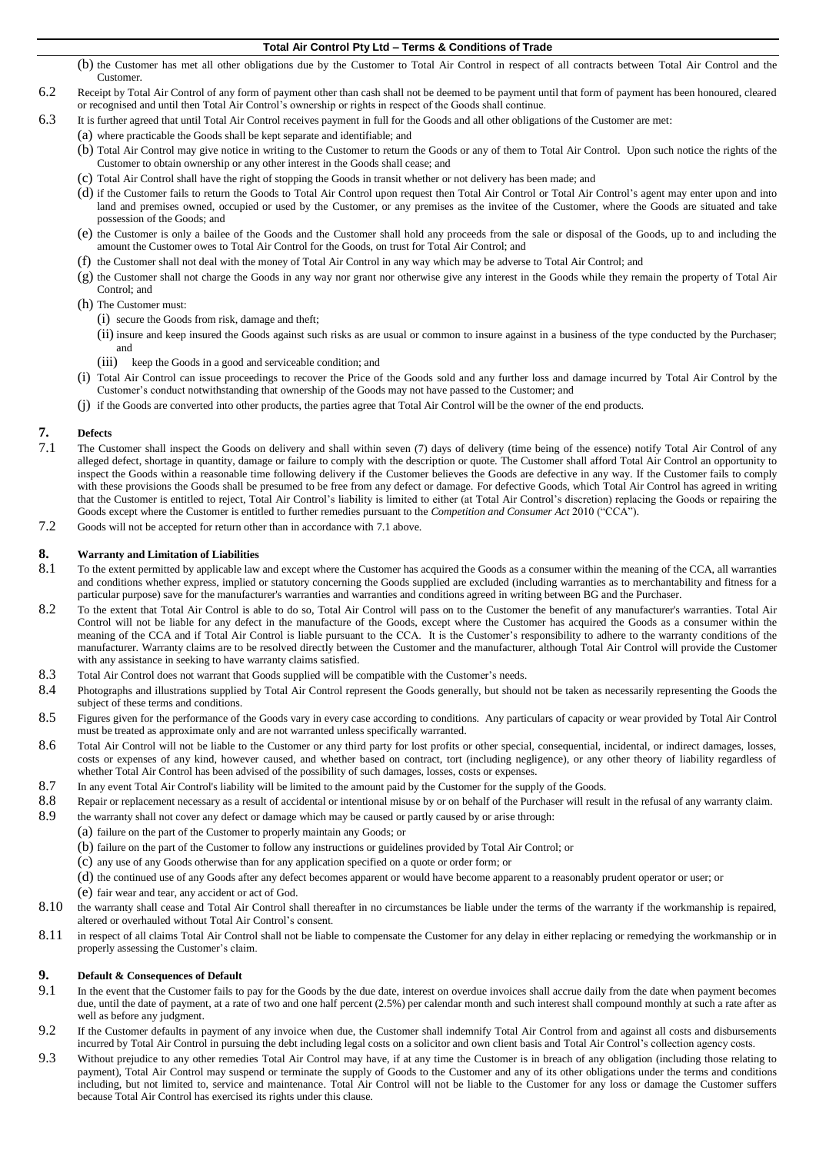- (b) the Customer has met all other obligations due by the Customer to Total Air Control in respect of all contracts between Total Air Control and the Customer.
- 6.2 Receipt by Total Air Control of any form of payment other than cash shall not be deemed to be payment until that form of payment has been honoured, cleared or recognised and until then Total Air Control's ownership or rights in respect of the Goods shall continue.
- 6.3 It is further agreed that until Total Air Control receives payment in full for the Goods and all other obligations of the Customer are met:
	- (a) where practicable the Goods shall be kept separate and identifiable; and
	- (b) Total Air Control may give notice in writing to the Customer to return the Goods or any of them to Total Air Control. Upon such notice the rights of the Customer to obtain ownership or any other interest in the Goods shall cease; and
	- (c) Total Air Control shall have the right of stopping the Goods in transit whether or not delivery has been made; and
	- (d) if the Customer fails to return the Goods to Total Air Control upon request then Total Air Control or Total Air Control's agent may enter upon and into land and premises owned, occupied or used by the Customer, or any premises as the invitee of the Customer, where the Goods are situated and take possession of the Goods; and
	- (e) the Customer is only a bailee of the Goods and the Customer shall hold any proceeds from the sale or disposal of the Goods, up to and including the amount the Customer owes to Total Air Control for the Goods, on trust for Total Air Control; and
	- (f) the Customer shall not deal with the money of Total Air Control in any way which may be adverse to Total Air Control; and
	- (g) the Customer shall not charge the Goods in any way nor grant nor otherwise give any interest in the Goods while they remain the property of Total Air Control; and
	- (h) The Customer must:
		- (i) secure the Goods from risk, damage and theft;
		- (ii) insure and keep insured the Goods against such risks as are usual or common to insure against in a business of the type conducted by the Purchaser; and
		- (iii) keep the Goods in a good and serviceable condition; and
	- (i) Total Air Control can issue proceedings to recover the Price of the Goods sold and any further loss and damage incurred by Total Air Control by the Customer's conduct notwithstanding that ownership of the Goods may not have passed to the Customer; and
	- (j) if the Goods are converted into other products, the parties agree that Total Air Control will be the owner of the end products.

# **7. Defects**

- <span id="page-1-0"></span>The Customer shall inspect the Goods on delivery and shall within seven (7) days of delivery (time being of the essence) notify Total Air Control of any alleged defect, shortage in quantity, damage or failure to comply with the description or quote. The Customer shall afford Total Air Control an opportunity to inspect the Goods within a reasonable time following delivery if the Customer believes the Goods are defective in any way. If the Customer fails to comply with these provisions the Goods shall be presumed to be free from any defect or damage. For defective Goods, which Total Air Control has agreed in writing that the Customer is entitled to reject, Total Air Control's liability is limited to either (at Total Air Control's discretion) replacing the Goods or repairing the Goods except where the Customer is entitled to further remedies pursuant to the *Competition and Consumer Act* 2010 ("CCA").
- 7.2 Goods will not be accepted for return other than in accordance with [7.1](#page-1-0) above.

# **8. Warranty and Limitation of Liabilities**<br>8.1 To the extent permitted by applicable law

- To the extent permitted by applicable law and except where the Customer has acquired the Goods as a consumer within the meaning of the CCA, all warranties and conditions whether express, implied or statutory concerning the Goods supplied are excluded (including warranties as to merchantability and fitness for a particular purpose) save for the manufacturer's warranties and warranties and conditions agreed in writing between BG and the Purchaser.
- 8.2 To the extent that Total Air Control is able to do so, Total Air Control will pass on to the Customer the benefit of any manufacturer's warranties. Total Air Control will not be liable for any defect in the manufacture of the Goods, except where the Customer has acquired the Goods as a consumer within the meaning of the CCA and if Total Air Control is liable pursuant to the CCA. It is the Customer's responsibility to adhere to the warranty conditions of the manufacturer. Warranty claims are to be resolved directly between the Customer and the manufacturer, although Total Air Control will provide the Customer with any assistance in seeking to have warranty claims satisfied.
- 8.3 Total Air Control does not warrant that Goods supplied will be compatible with the Customer's needs.
- 8.4 Photographs and illustrations supplied by Total Air Control represent the Goods generally, but should not be taken as necessarily representing the Goods the subject of these terms and conditions.
- 8.5 Figures given for the performance of the Goods vary in every case according to conditions. Any particulars of capacity or wear provided by Total Air Control must be treated as approximate only and are not warranted unless specifically warranted.
- 8.6 Total Air Control will not be liable to the Customer or any third party for lost profits or other special, consequential, incidental, or indirect damages, losses, costs or expenses of any kind, however caused, and whether based on contract, tort (including negligence), or any other theory of liability regardless of whether Total Air Control has been advised of the possibility of such damages, losses, costs or expenses.
- 8.7 In any event Total Air Control's liability will be limited to the amount paid by the Customer for the supply of the Goods.
- 8.8 Repair or replacement necessary as a result of accidental or intentional misuse by or on behalf of the Purchaser will result in the refusal of any warranty claim.<br>8.9 the warranty shall not cover any defect or damage w
	- the warranty shall not cover any defect or damage which may be caused or partly caused by or arise through:
		- (a) failure on the part of the Customer to properly maintain any Goods; or
			- (b) failure on the part of the Customer to follow any instructions or guidelines provided by Total Air Control; or
			- (c) any use of any Goods otherwise than for any application specified on a quote or order form; or
			- (d) the continued use of any Goods after any defect becomes apparent or would have become apparent to a reasonably prudent operator or user; or
			- (e) fair wear and tear, any accident or act of God.
- 8.10 the warranty shall cease and Total Air Control shall thereafter in no circumstances be liable under the terms of the warranty if the workmanship is repaired, altered or overhauled without Total Air Control's consent.
- 8.11 in respect of all claims Total Air Control shall not be liable to compensate the Customer for any delay in either replacing or remedying the workmanship or in properly assessing the Customer's claim.

## **9. Default & Consequences of Default**

- 9.1 In the event that the Customer fails to pay for the Goods by the due date, interest on overdue invoices shall accrue daily from the date when payment becomes due, until the date of payment, at a rate of two and one half percent (2.5%) per calendar month and such interest shall compound monthly at such a rate after as well as before any judgment.
- 9.2 If the Customer defaults in payment of any invoice when due, the Customer shall indemnify Total Air Control from and against all costs and disbursements incurred by Total Air Control in pursuing the debt including legal costs on a solicitor and own client basis and Total Air Control's collection agency costs.
- 9.3 Without prejudice to any other remedies Total Air Control may have, if at any time the Customer is in breach of any obligation (including those relating to payment), Total Air Control may suspend or terminate the supply of Goods to the Customer and any of its other obligations under the terms and conditions including, but not limited to, service and maintenance. Total Air Control will not be liable to the Customer for any loss or damage the Customer suffers because Total Air Control has exercised its rights under this clause.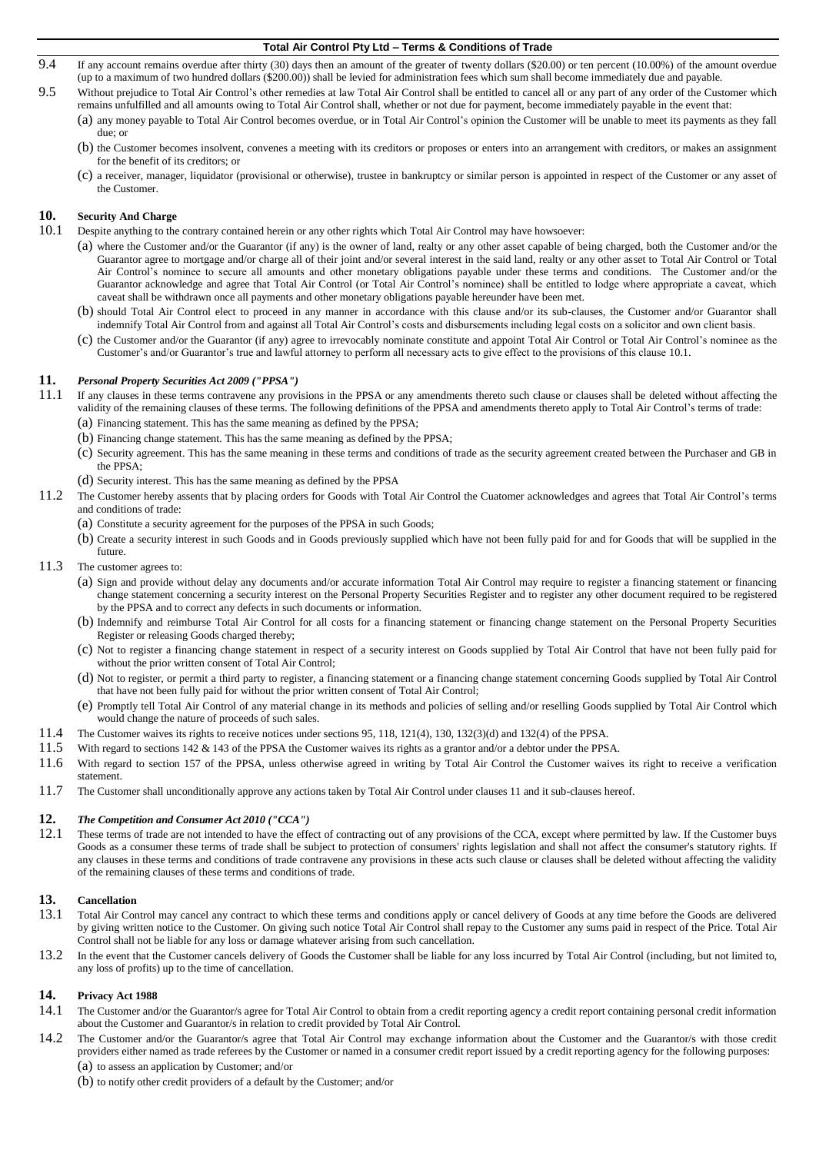- 9.4 If any account remains overdue after thirty (30) days then an amount of the greater of twenty dollars (\$20.00) or ten percent (10.00%) of the amount overdue (up to a maximum of two hundred dollars (\$200.00)) shall be levied for administration fees which sum shall become immediately due and payable.
- 9.5 Without prejudice to Total Air Control's other remedies at law Total Air Control shall be entitled to cancel all or any part of any order of the Customer which remains unfulfilled and all amounts owing to Total Air Control shall, whether or not due for payment, become immediately payable in the event that:
	- (a) any money payable to Total Air Control becomes overdue, or in Total Air Control's opinion the Customer will be unable to meet its payments as they fall due; or
	- (b) the Customer becomes insolvent, convenes a meeting with its creditors or proposes or enters into an arrangement with creditors, or makes an assignment for the benefit of its creditors; or
	- (c) a receiver, manager, liquidator (provisional or otherwise), trustee in bankruptcy or similar person is appointed in respect of the Customer or any asset of the Customer.

# <span id="page-2-0"></span>**10. Security And Charge**

- 10.1 Despite anything to the contrary contained herein or any other rights which Total Air Control may have howsoever:
	- (a) where the Customer and/or the Guarantor (if any) is the owner of land, realty or any other asset capable of being charged, both the Customer and/or the Guarantor agree to mortgage and/or charge all of their joint and/or several interest in the said land, realty or any other asset to Total Air Control or Total Air Control's nominee to secure all amounts and other monetary obligations payable under these terms and conditions. The Customer and/or the Guarantor acknowledge and agree that Total Air Control (or Total Air Control's nominee) shall be entitled to lodge where appropriate a caveat, which caveat shall be withdrawn once all payments and other monetary obligations payable hereunder have been met.
	- (b) should Total Air Control elect to proceed in any manner in accordance with this clause and/or its sub-clauses, the Customer and/or Guarantor shall indemnify Total Air Control from and against all Total Air Control's costs and disbursements including legal costs on a solicitor and own client basis.
	- (c) the Customer and/or the Guarantor (if any) agree to irrevocably nominate constitute and appoint Total Air Control or Total Air Control's nominee as the Customer's and/or Guarantor's true and lawful attorney to perform all necessary acts to give effect to the provisions of this claus[e 10.1.](#page-2-0)

### **11.** *Personal Property Securities Act 2009 ("PPSA")*

- 11.1 If any clauses in these terms contravene any provisions in the PPSA or any amendments thereto such clause or clauses shall be deleted without affecting the validity of the remaining clauses of these terms. The following definitions of the PPSA and amendments thereto apply to Total Air Control's terms of trade: (a) Financing statement. This has the same meaning as defined by the PPSA;
	- (b) Financing change statement. This has the same meaning as defined by the PPSA;
	- (c) Security agreement. This has the same meaning in these terms and conditions of trade as the security agreement created between the Purchaser and GB in the PPSA;
	- (d) Security interest. This has the same meaning as defined by the PPSA
- 11.2 The Customer hereby assents that by placing orders for Goods with Total Air Control the Cuatomer acknowledges and agrees that Total Air Control's terms and conditions of trade:
	- (a) Constitute a security agreement for the purposes of the PPSA in such Goods;
	- (b) Create a security interest in such Goods and in Goods previously supplied which have not been fully paid for and for Goods that will be supplied in the future.
- 11.3 The customer agrees to:
	- (a) Sign and provide without delay any documents and/or accurate information Total Air Control may require to register a financing statement or financing change statement concerning a security interest on the Personal Property Securities Register and to register any other document required to be registered by the PPSA and to correct any defects in such documents or information.
	- (b) Indemnify and reimburse Total Air Control for all costs for a financing statement or financing change statement on the Personal Property Securities Register or releasing Goods charged thereby;
	- (c) Not to register a financing change statement in respect of a security interest on Goods supplied by Total Air Control that have not been fully paid for without the prior written consent of Total Air Control;
	- (d) Not to register, or permit a third party to register, a financing statement or a financing change statement concerning Goods supplied by Total Air Control that have not been fully paid for without the prior written consent of Total Air Control;
	- (e) Promptly tell Total Air Control of any material change in its methods and policies of selling and/or reselling Goods supplied by Total Air Control which would change the nature of proceeds of such sales.
- 11.4 The Customer waives its rights to receive notices under sections 95, 118, 121(4), 130, 132(3)(d) and 132(4) of the PPSA.
- 11.5 With regard to sections 142 & 143 of the PPSA the Customer waives its rights as a grantor and/or a debtor under the PPSA.
- 11.6 With regard to section 157 of the PPSA, unless otherwise agreed in writing by Total Air Control the Customer waives its right to receive a verification statement.
- 11.7 The Customer shall unconditionally approve any actions taken by Total Air Control under clauses 11 and it sub-clauses hereof.

# **12.** *The Competition and Consumer Act 2010 ("CCA")*

These terms of trade are not intended to have the effect of contracting out of any provisions of the CCA, except where permitted by law. If the Customer buys Goods as a consumer these terms of trade shall be subject to protection of consumers' rights legislation and shall not affect the consumer's statutory rights. If any clauses in these terms and conditions of trade contravene any provisions in these acts such clause or clauses shall be deleted without affecting the validity of the remaining clauses of these terms and conditions of trade.

### **13. Cancellation**

- 13.1 Total Air Control may cancel any contract to which these terms and conditions apply or cancel delivery of Goods at any time before the Goods are delivered by giving written notice to the Customer. On giving such notice Total Air Control shall repay to the Customer any sums paid in respect of the Price. Total Air Control shall not be liable for any loss or damage whatever arising from such cancellation.
- 13.2 In the event that the Customer cancels delivery of Goods the Customer shall be liable for any loss incurred by Total Air Control (including, but not limited to, any loss of profits) up to the time of cancellation.

#### **14. Privacy Act 1988**

- 14.1 The Customer and/or the Guarantor/s agree for Total Air Control to obtain from a credit reporting agency a credit report containing personal credit information about the Customer and Guarantor/s in relation to credit provided by Total Air Control.
- 14.2 The Customer and/or the Guarantor/s agree that Total Air Control may exchange information about the Customer and the Guarantor/s with those credit providers either named as trade referees by the Customer or named in a consumer credit report issued by a credit reporting agency for the following purposes: (a) to assess an application by Customer; and/or
	- (b) to notify other credit providers of a default by the Customer; and/or